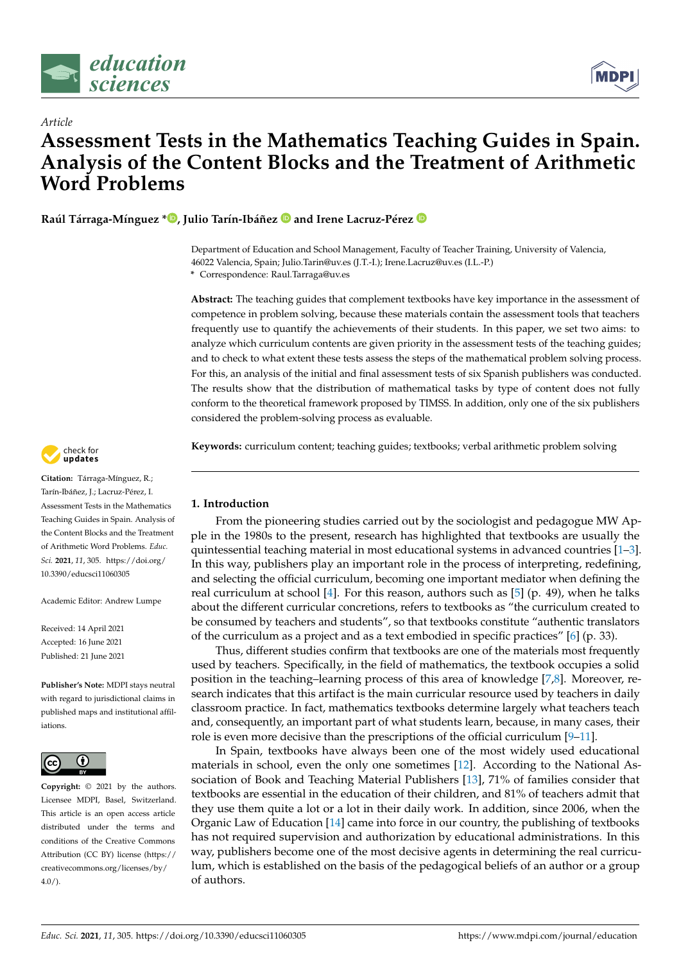

*Article*



# **Assessment Tests in the Mathematics Teaching Guides in Spain. Analysis of the Content Blocks and the Treatment of Arithmetic Word Problems**

**Raúl Tárraga-Mínguez [\\*](https://orcid.org/0000-0002-4458-5763) , Julio Tarín-Ibáñez and Irene Lacruz-Pérez**

Department of Education and School Management, Faculty of Teacher Training, University of Valencia, 46022 Valencia, Spain; Julio.Tarin@uv.es (J.T.-I.); Irene.Lacruz@uv.es (I.L.-P.)

**\*** Correspondence: Raul.Tarraga@uv.es

**Abstract:** The teaching guides that complement textbooks have key importance in the assessment of competence in problem solving, because these materials contain the assessment tools that teachers frequently use to quantify the achievements of their students. In this paper, we set two aims: to analyze which curriculum contents are given priority in the assessment tests of the teaching guides; and to check to what extent these tests assess the steps of the mathematical problem solving process. For this, an analysis of the initial and final assessment tests of six Spanish publishers was conducted. The results show that the distribution of mathematical tasks by type of content does not fully conform to the theoretical framework proposed by TIMSS. In addition, only one of the six publishers considered the problem-solving process as evaluable.

**Keywords:** curriculum content; teaching guides; textbooks; verbal arithmetic problem solving

## **1. Introduction**

From the pioneering studies carried out by the sociologist and pedagogue MW Apple in the 1980s to the present, research has highlighted that textbooks are usually the quintessential teaching material in most educational systems in advanced countries [\[1](#page-12-0)[–3\]](#page-12-1). In this way, publishers play an important role in the process of interpreting, redefining, and selecting the official curriculum, becoming one important mediator when defining the real curriculum at school [\[4\]](#page-12-2). For this reason, authors such as [\[5\]](#page-12-3) (p. 49), when he talks about the different curricular concretions, refers to textbooks as "the curriculum created to be consumed by teachers and students", so that textbooks constitute "authentic translators of the curriculum as a project and as a text embodied in specific practices" [\[6\]](#page-12-4) (p. 33).

Thus, different studies confirm that textbooks are one of the materials most frequently used by teachers. Specifically, in the field of mathematics, the textbook occupies a solid position in the teaching–learning process of this area of knowledge [\[7,](#page-12-5)[8\]](#page-12-6). Moreover, research indicates that this artifact is the main curricular resource used by teachers in daily classroom practice. In fact, mathematics textbooks determine largely what teachers teach and, consequently, an important part of what students learn, because, in many cases, their role is even more decisive than the prescriptions of the official curriculum  $[9-11]$  $[9-11]$ .

In Spain, textbooks have always been one of the most widely used educational materials in school, even the only one sometimes [\[12\]](#page-12-9). According to the National Association of Book and Teaching Material Publishers [\[13\]](#page-12-10), 71% of families consider that textbooks are essential in the education of their children, and 81% of teachers admit that they use them quite a lot or a lot in their daily work. In addition, since 2006, when the Organic Law of Education [\[14\]](#page-12-11) came into force in our country, the publishing of textbooks has not required supervision and authorization by educational administrations. In this way, publishers become one of the most decisive agents in determining the real curriculum, which is established on the basis of the pedagogical beliefs of an author or a group of authors.



**Citation:** Tárraga-Mínguez, R.; Tarín-Ibáñez, J.; Lacruz-Pérez, I. Assessment Tests in the Mathematics Teaching Guides in Spain. Analysis of the Content Blocks and the Treatment of Arithmetic Word Problems. *Educ. Sci.* **2021**, *11*, 305. [https://doi.org/](https://doi.org/10.3390/educsci11060305) [10.3390/educsci11060305](https://doi.org/10.3390/educsci11060305)

Academic Editor: Andrew Lumpe

Received: 14 April 2021 Accepted: 16 June 2021 Published: 21 June 2021

**Publisher's Note:** MDPI stays neutral with regard to jurisdictional claims in published maps and institutional affiliations.



**Copyright:** © 2021 by the authors. Licensee MDPI, Basel, Switzerland. This article is an open access article distributed under the terms and conditions of the Creative Commons Attribution (CC BY) license (https:/[/](https://creativecommons.org/licenses/by/4.0/) [creativecommons.org/licenses/by/](https://creativecommons.org/licenses/by/4.0/)  $4.0/$ ).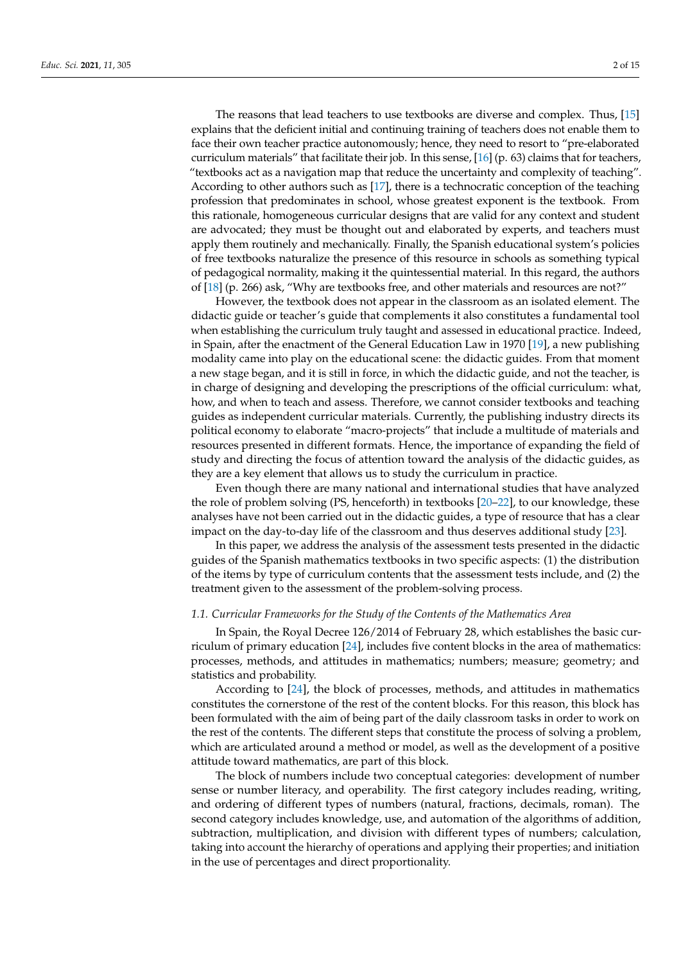The reasons that lead teachers to use textbooks are diverse and complex. Thus, [\[15\]](#page-12-12) explains that the deficient initial and continuing training of teachers does not enable them to face their own teacher practice autonomously; hence, they need to resort to "pre-elaborated curriculum materials" that facilitate their job. In this sense, [\[16\]](#page-12-13) (p. 63) claims that for teachers, "textbooks act as a navigation map that reduce the uncertainty and complexity of teaching". According to other authors such as [\[17\]](#page-12-14), there is a technocratic conception of the teaching profession that predominates in school, whose greatest exponent is the textbook. From this rationale, homogeneous curricular designs that are valid for any context and student are advocated; they must be thought out and elaborated by experts, and teachers must apply them routinely and mechanically. Finally, the Spanish educational system's policies of free textbooks naturalize the presence of this resource in schools as something typical of pedagogical normality, making it the quintessential material. In this regard, the authors of [\[18\]](#page-12-15) (p. 266) ask, "Why are textbooks free, and other materials and resources are not?"

However, the textbook does not appear in the classroom as an isolated element. The didactic guide or teacher's guide that complements it also constitutes a fundamental tool when establishing the curriculum truly taught and assessed in educational practice. Indeed, in Spain, after the enactment of the General Education Law in 1970 [\[19\]](#page-12-16), a new publishing modality came into play on the educational scene: the didactic guides. From that moment a new stage began, and it is still in force, in which the didactic guide, and not the teacher, is in charge of designing and developing the prescriptions of the official curriculum: what, how, and when to teach and assess. Therefore, we cannot consider textbooks and teaching guides as independent curricular materials. Currently, the publishing industry directs its political economy to elaborate "macro-projects" that include a multitude of materials and resources presented in different formats. Hence, the importance of expanding the field of study and directing the focus of attention toward the analysis of the didactic guides, as they are a key element that allows us to study the curriculum in practice.

Even though there are many national and international studies that have analyzed the role of problem solving (PS, henceforth) in textbooks [\[20](#page-12-17)[–22\]](#page-12-18), to our knowledge, these analyses have not been carried out in the didactic guides, a type of resource that has a clear impact on the day-to-day life of the classroom and thus deserves additional study [\[23\]](#page-12-19).

In this paper, we address the analysis of the assessment tests presented in the didactic guides of the Spanish mathematics textbooks in two specific aspects: (1) the distribution of the items by type of curriculum contents that the assessment tests include, and (2) the treatment given to the assessment of the problem-solving process.

#### *1.1. Curricular Frameworks for the Study of the Contents of the Mathematics Area*

In Spain, the Royal Decree 126/2014 of February 28, which establishes the basic curriculum of primary education [\[24\]](#page-12-20), includes five content blocks in the area of mathematics: processes, methods, and attitudes in mathematics; numbers; measure; geometry; and statistics and probability.

According to [\[24\]](#page-12-20), the block of processes, methods, and attitudes in mathematics constitutes the cornerstone of the rest of the content blocks. For this reason, this block has been formulated with the aim of being part of the daily classroom tasks in order to work on the rest of the contents. The different steps that constitute the process of solving a problem, which are articulated around a method or model, as well as the development of a positive attitude toward mathematics, are part of this block.

The block of numbers include two conceptual categories: development of number sense or number literacy, and operability. The first category includes reading, writing, and ordering of different types of numbers (natural, fractions, decimals, roman). The second category includes knowledge, use, and automation of the algorithms of addition, subtraction, multiplication, and division with different types of numbers; calculation, taking into account the hierarchy of operations and applying their properties; and initiation in the use of percentages and direct proportionality.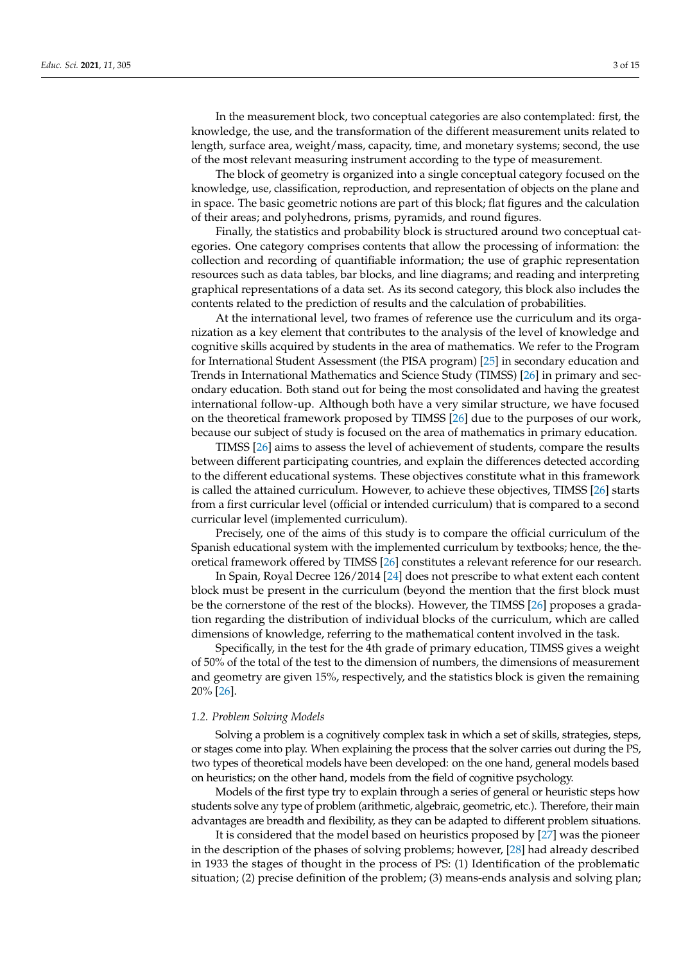In the measurement block, two conceptual categories are also contemplated: first, the knowledge, the use, and the transformation of the different measurement units related to length, surface area, weight/mass, capacity, time, and monetary systems; second, the use of the most relevant measuring instrument according to the type of measurement.

The block of geometry is organized into a single conceptual category focused on the knowledge, use, classification, reproduction, and representation of objects on the plane and in space. The basic geometric notions are part of this block; flat figures and the calculation of their areas; and polyhedrons, prisms, pyramids, and round figures.

Finally, the statistics and probability block is structured around two conceptual categories. One category comprises contents that allow the processing of information: the collection and recording of quantifiable information; the use of graphic representation resources such as data tables, bar blocks, and line diagrams; and reading and interpreting graphical representations of a data set. As its second category, this block also includes the contents related to the prediction of results and the calculation of probabilities.

At the international level, two frames of reference use the curriculum and its organization as a key element that contributes to the analysis of the level of knowledge and cognitive skills acquired by students in the area of mathematics. We refer to the Program for International Student Assessment (the PISA program) [\[25\]](#page-12-21) in secondary education and Trends in International Mathematics and Science Study (TIMSS) [\[26\]](#page-13-0) in primary and secondary education. Both stand out for being the most consolidated and having the greatest international follow-up. Although both have a very similar structure, we have focused on the theoretical framework proposed by TIMSS [\[26\]](#page-13-0) due to the purposes of our work, because our subject of study is focused on the area of mathematics in primary education.

TIMSS [\[26\]](#page-13-0) aims to assess the level of achievement of students, compare the results between different participating countries, and explain the differences detected according to the different educational systems. These objectives constitute what in this framework is called the attained curriculum. However, to achieve these objectives, TIMSS [\[26\]](#page-13-0) starts from a first curricular level (official or intended curriculum) that is compared to a second curricular level (implemented curriculum).

Precisely, one of the aims of this study is to compare the official curriculum of the Spanish educational system with the implemented curriculum by textbooks; hence, the theoretical framework offered by TIMSS [\[26\]](#page-13-0) constitutes a relevant reference for our research.

In Spain, Royal Decree 126/2014 [\[24\]](#page-12-20) does not prescribe to what extent each content block must be present in the curriculum (beyond the mention that the first block must be the cornerstone of the rest of the blocks). However, the TIMSS [\[26\]](#page-13-0) proposes a gradation regarding the distribution of individual blocks of the curriculum, which are called dimensions of knowledge, referring to the mathematical content involved in the task.

Specifically, in the test for the 4th grade of primary education, TIMSS gives a weight of 50% of the total of the test to the dimension of numbers, the dimensions of measurement and geometry are given 15%, respectively, and the statistics block is given the remaining 20% [\[26\]](#page-13-0).

#### *1.2. Problem Solving Models*

Solving a problem is a cognitively complex task in which a set of skills, strategies, steps, or stages come into play. When explaining the process that the solver carries out during the PS, two types of theoretical models have been developed: on the one hand, general models based on heuristics; on the other hand, models from the field of cognitive psychology.

Models of the first type try to explain through a series of general or heuristic steps how students solve any type of problem (arithmetic, algebraic, geometric, etc.). Therefore, their main advantages are breadth and flexibility, as they can be adapted to different problem situations.

It is considered that the model based on heuristics proposed by [\[27\]](#page-13-1) was the pioneer in the description of the phases of solving problems; however, [\[28\]](#page-13-2) had already described in 1933 the stages of thought in the process of PS: (1) Identification of the problematic situation; (2) precise definition of the problem; (3) means-ends analysis and solving plan;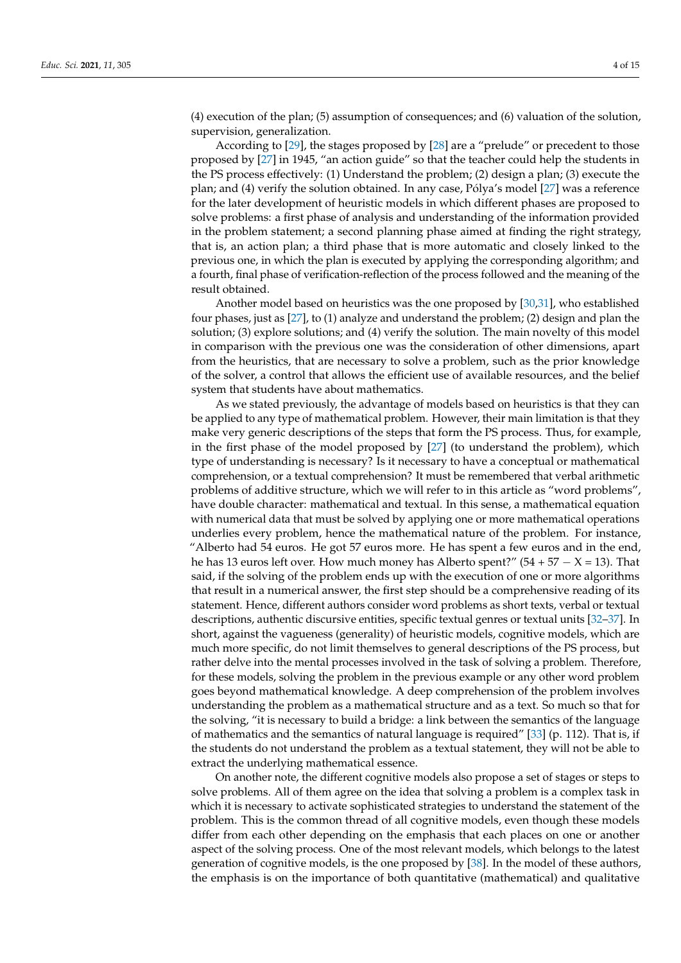(4) execution of the plan; (5) assumption of consequences; and (6) valuation of the solution, supervision, generalization.

According to [\[29\]](#page-13-3), the stages proposed by [\[28\]](#page-13-2) are a "prelude" or precedent to those proposed by [\[27\]](#page-13-1) in 1945, "an action guide" so that the teacher could help the students in the PS process effectively: (1) Understand the problem; (2) design a plan; (3) execute the plan; and (4) verify the solution obtained. In any case, Pólya's model [\[27\]](#page-13-1) was a reference for the later development of heuristic models in which different phases are proposed to solve problems: a first phase of analysis and understanding of the information provided in the problem statement; a second planning phase aimed at finding the right strategy, that is, an action plan; a third phase that is more automatic and closely linked to the previous one, in which the plan is executed by applying the corresponding algorithm; and a fourth, final phase of verification-reflection of the process followed and the meaning of the result obtained.

Another model based on heuristics was the one proposed by [\[30](#page-13-4)[,31\]](#page-13-5), who established four phases, just as [\[27\]](#page-13-1), to (1) analyze and understand the problem; (2) design and plan the solution; (3) explore solutions; and (4) verify the solution. The main novelty of this model in comparison with the previous one was the consideration of other dimensions, apart from the heuristics, that are necessary to solve a problem, such as the prior knowledge of the solver, a control that allows the efficient use of available resources, and the belief system that students have about mathematics.

As we stated previously, the advantage of models based on heuristics is that they can be applied to any type of mathematical problem. However, their main limitation is that they make very generic descriptions of the steps that form the PS process. Thus, for example, in the first phase of the model proposed by [\[27\]](#page-13-1) (to understand the problem), which type of understanding is necessary? Is it necessary to have a conceptual or mathematical comprehension, or a textual comprehension? It must be remembered that verbal arithmetic problems of additive structure, which we will refer to in this article as "word problems", have double character: mathematical and textual. In this sense, a mathematical equation with numerical data that must be solved by applying one or more mathematical operations underlies every problem, hence the mathematical nature of the problem. For instance, "Alberto had 54 euros. He got 57 euros more. He has spent a few euros and in the end, he has 13 euros left over. How much money has Alberto spent?" (54 + 57  $- X = 13$ ). That said, if the solving of the problem ends up with the execution of one or more algorithms that result in a numerical answer, the first step should be a comprehensive reading of its statement. Hence, different authors consider word problems as short texts, verbal or textual descriptions, authentic discursive entities, specific textual genres or textual units [\[32–](#page-13-6)[37\]](#page-13-7). In short, against the vagueness (generality) of heuristic models, cognitive models, which are much more specific, do not limit themselves to general descriptions of the PS process, but rather delve into the mental processes involved in the task of solving a problem. Therefore, for these models, solving the problem in the previous example or any other word problem goes beyond mathematical knowledge. A deep comprehension of the problem involves understanding the problem as a mathematical structure and as a text. So much so that for the solving, "it is necessary to build a bridge: a link between the semantics of the language of mathematics and the semantics of natural language is required" [\[33\]](#page-13-8) (p. 112). That is, if the students do not understand the problem as a textual statement, they will not be able to extract the underlying mathematical essence.

On another note, the different cognitive models also propose a set of stages or steps to solve problems. All of them agree on the idea that solving a problem is a complex task in which it is necessary to activate sophisticated strategies to understand the statement of the problem. This is the common thread of all cognitive models, even though these models differ from each other depending on the emphasis that each places on one or another aspect of the solving process. One of the most relevant models, which belongs to the latest generation of cognitive models, is the one proposed by [\[38\]](#page-13-9). In the model of these authors, the emphasis is on the importance of both quantitative (mathematical) and qualitative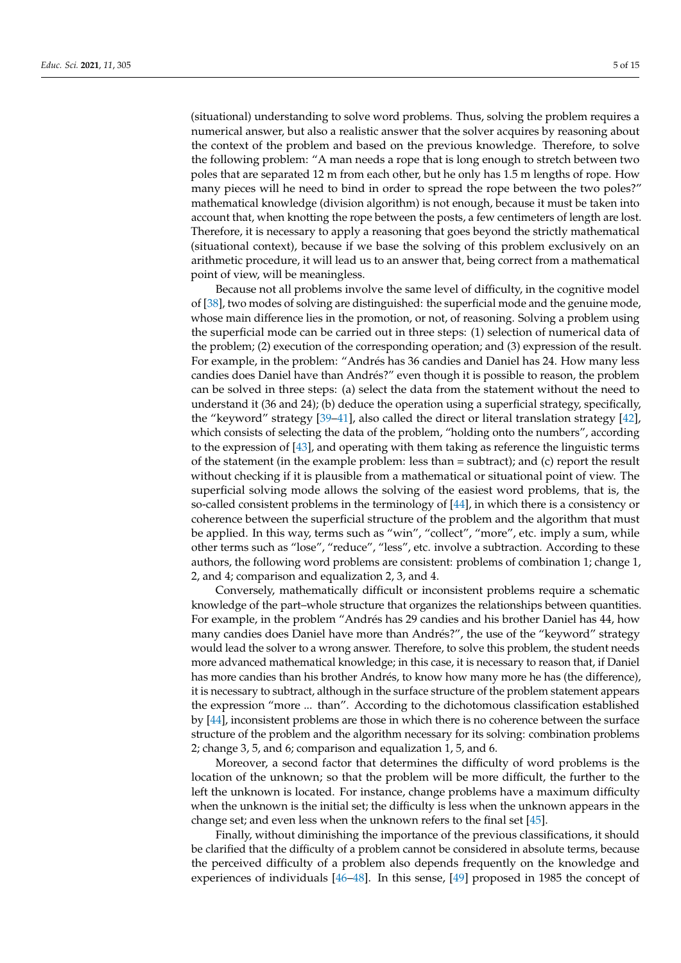(situational) understanding to solve word problems. Thus, solving the problem requires a numerical answer, but also a realistic answer that the solver acquires by reasoning about the context of the problem and based on the previous knowledge. Therefore, to solve the following problem: "A man needs a rope that is long enough to stretch between two poles that are separated 12 m from each other, but he only has 1.5 m lengths of rope. How many pieces will he need to bind in order to spread the rope between the two poles?" mathematical knowledge (division algorithm) is not enough, because it must be taken into account that, when knotting the rope between the posts, a few centimeters of length are lost. Therefore, it is necessary to apply a reasoning that goes beyond the strictly mathematical (situational context), because if we base the solving of this problem exclusively on an arithmetic procedure, it will lead us to an answer that, being correct from a mathematical point of view, will be meaningless.

Because not all problems involve the same level of difficulty, in the cognitive model of [\[38\]](#page-13-9), two modes of solving are distinguished: the superficial mode and the genuine mode, whose main difference lies in the promotion, or not, of reasoning. Solving a problem using the superficial mode can be carried out in three steps: (1) selection of numerical data of the problem; (2) execution of the corresponding operation; and (3) expression of the result. For example, in the problem: "Andrés has 36 candies and Daniel has 24. How many less candies does Daniel have than Andrés?" even though it is possible to reason, the problem can be solved in three steps: (a) select the data from the statement without the need to understand it (36 and 24); (b) deduce the operation using a superficial strategy, specifically, the "keyword" strategy [\[39–](#page-13-10)[41\]](#page-13-11), also called the direct or literal translation strategy [\[42\]](#page-13-12), which consists of selecting the data of the problem, "holding onto the numbers", according to the expression of [\[43\]](#page-13-13), and operating with them taking as reference the linguistic terms of the statement (in the example problem: less than = subtract); and (c) report the result without checking if it is plausible from a mathematical or situational point of view. The superficial solving mode allows the solving of the easiest word problems, that is, the so-called consistent problems in the terminology of [\[44\]](#page-13-14), in which there is a consistency or coherence between the superficial structure of the problem and the algorithm that must be applied. In this way, terms such as "win", "collect", "more", etc. imply a sum, while other terms such as "lose", "reduce", "less", etc. involve a subtraction. According to these authors, the following word problems are consistent: problems of combination 1; change 1, 2, and 4; comparison and equalization 2, 3, and 4.

Conversely, mathematically difficult or inconsistent problems require a schematic knowledge of the part–whole structure that organizes the relationships between quantities. For example, in the problem "Andrés has 29 candies and his brother Daniel has 44, how many candies does Daniel have more than Andrés?", the use of the "keyword" strategy would lead the solver to a wrong answer. Therefore, to solve this problem, the student needs more advanced mathematical knowledge; in this case, it is necessary to reason that, if Daniel has more candies than his brother Andrés, to know how many more he has (the difference), it is necessary to subtract, although in the surface structure of the problem statement appears the expression "more ... than". According to the dichotomous classification established by [\[44\]](#page-13-14), inconsistent problems are those in which there is no coherence between the surface structure of the problem and the algorithm necessary for its solving: combination problems 2; change 3, 5, and 6; comparison and equalization 1, 5, and 6.

Moreover, a second factor that determines the difficulty of word problems is the location of the unknown; so that the problem will be more difficult, the further to the left the unknown is located. For instance, change problems have a maximum difficulty when the unknown is the initial set; the difficulty is less when the unknown appears in the change set; and even less when the unknown refers to the final set [\[45\]](#page-13-15).

Finally, without diminishing the importance of the previous classifications, it should be clarified that the difficulty of a problem cannot be considered in absolute terms, because the perceived difficulty of a problem also depends frequently on the knowledge and experiences of individuals [\[46–](#page-13-16)[48\]](#page-13-17). In this sense, [\[49\]](#page-13-18) proposed in 1985 the concept of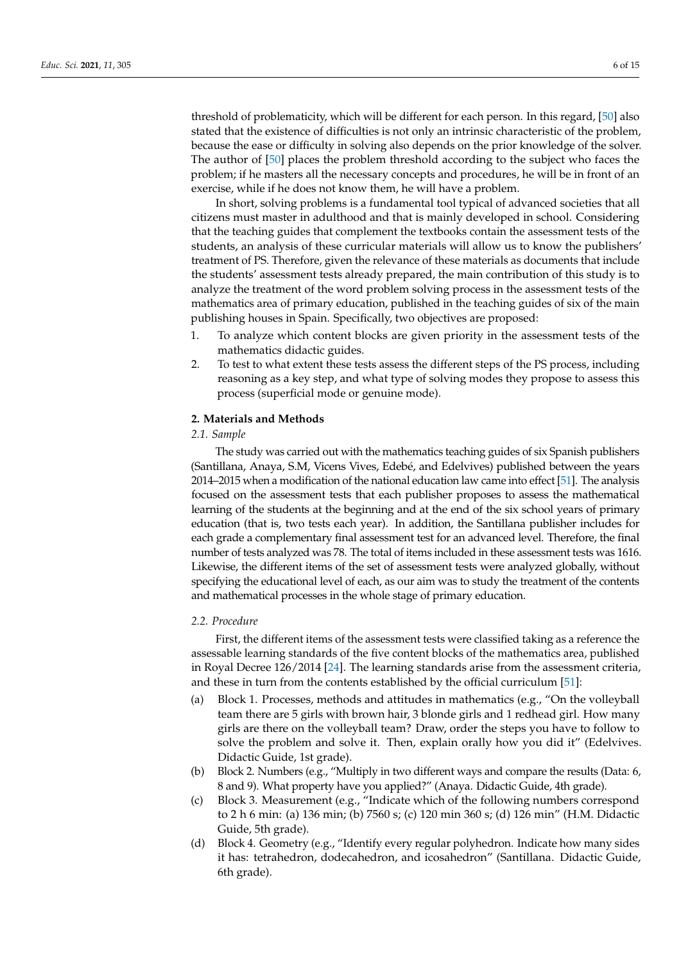threshold of problematicity, which will be different for each person. In this regard, [\[50\]](#page-13-19) also stated that the existence of difficulties is not only an intrinsic characteristic of the problem, because the ease or difficulty in solving also depends on the prior knowledge of the solver. The author of [\[50\]](#page-13-19) places the problem threshold according to the subject who faces the problem; if he masters all the necessary concepts and procedures, he will be in front of an exercise, while if he does not know them, he will have a problem.

In short, solving problems is a fundamental tool typical of advanced societies that all citizens must master in adulthood and that is mainly developed in school. Considering that the teaching guides that complement the textbooks contain the assessment tests of the students, an analysis of these curricular materials will allow us to know the publishers' treatment of PS. Therefore, given the relevance of these materials as documents that include the students' assessment tests already prepared, the main contribution of this study is to analyze the treatment of the word problem solving process in the assessment tests of the mathematics area of primary education, published in the teaching guides of six of the main publishing houses in Spain. Specifically, two objectives are proposed:

- 1. To analyze which content blocks are given priority in the assessment tests of the mathematics didactic guides.
- 2. To test to what extent these tests assess the different steps of the PS process, including reasoning as a key step, and what type of solving modes they propose to assess this process (superficial mode or genuine mode).

## **2. Materials and Methods**

## *2.1. Sample*

The study was carried out with the mathematics teaching guides of six Spanish publishers (Santillana, Anaya, S.M, Vicens Vives, Edebé, and Edelvives) published between the years 2014–2015 when a modification of the national education law came into effect [\[51\]](#page-13-20). The analysis focused on the assessment tests that each publisher proposes to assess the mathematical learning of the students at the beginning and at the end of the six school years of primary education (that is, two tests each year). In addition, the Santillana publisher includes for each grade a complementary final assessment test for an advanced level. Therefore, the final number of tests analyzed was 78. The total of items included in these assessment tests was 1616. Likewise, the different items of the set of assessment tests were analyzed globally, without specifying the educational level of each, as our aim was to study the treatment of the contents and mathematical processes in the whole stage of primary education.

## *2.2. Procedure*

First, the different items of the assessment tests were classified taking as a reference the assessable learning standards of the five content blocks of the mathematics area, published in Royal Decree 126/2014 [\[24\]](#page-12-20). The learning standards arise from the assessment criteria, and these in turn from the contents established by the official curriculum [\[51\]](#page-13-20):

- (a) Block 1. Processes, methods and attitudes in mathematics (e.g., "On the volleyball team there are 5 girls with brown hair, 3 blonde girls and 1 redhead girl. How many girls are there on the volleyball team? Draw, order the steps you have to follow to solve the problem and solve it. Then, explain orally how you did it" (Edelvives. Didactic Guide, 1st grade).
- (b) Block 2. Numbers (e.g., "Multiply in two different ways and compare the results (Data: 6, 8 and 9). What property have you applied?" (Anaya. Didactic Guide, 4th grade).
- (c) Block 3. Measurement (e.g., "Indicate which of the following numbers correspond to 2 h 6 min: (a) 136 min; (b) 7560 s; (c) 120 min 360 s; (d) 126 min" (H.M. Didactic Guide, 5th grade).
- (d) Block 4. Geometry (e.g., "Identify every regular polyhedron. Indicate how many sides it has: tetrahedron, dodecahedron, and icosahedron" (Santillana. Didactic Guide, 6th grade).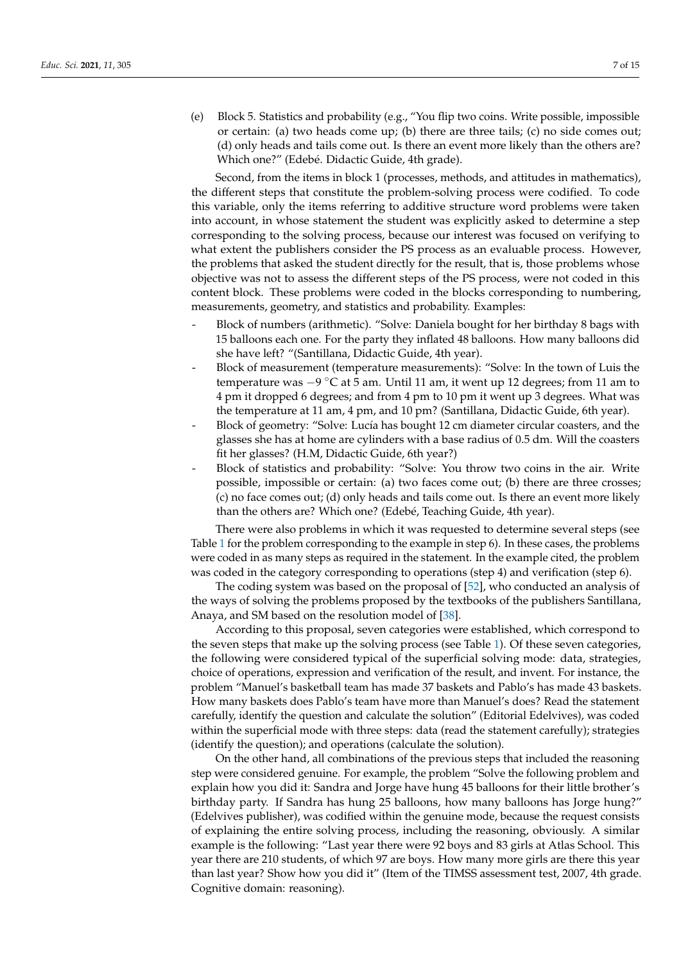(e) Block 5. Statistics and probability (e.g., "You flip two coins. Write possible, impossible or certain: (a) two heads come up; (b) there are three tails; (c) no side comes out; (d) only heads and tails come out. Is there an event more likely than the others are? Which one?" (Edebé. Didactic Guide, 4th grade).

Second, from the items in block 1 (processes, methods, and attitudes in mathematics), the different steps that constitute the problem-solving process were codified. To code this variable, only the items referring to additive structure word problems were taken into account, in whose statement the student was explicitly asked to determine a step corresponding to the solving process, because our interest was focused on verifying to what extent the publishers consider the PS process as an evaluable process. However, the problems that asked the student directly for the result, that is, those problems whose objective was not to assess the different steps of the PS process, were not coded in this content block. These problems were coded in the blocks corresponding to numbering, measurements, geometry, and statistics and probability. Examples:

- Block of numbers (arithmetic). "Solve: Daniela bought for her birthday 8 bags with 15 balloons each one. For the party they inflated 48 balloons. How many balloons did she have left? "(Santillana, Didactic Guide, 4th year).
- Block of measurement (temperature measurements): "Solve: In the town of Luis the temperature was −9 ◦C at 5 am. Until 11 am, it went up 12 degrees; from 11 am to 4 pm it dropped 6 degrees; and from 4 pm to 10 pm it went up 3 degrees. What was the temperature at 11 am, 4 pm, and 10 pm? (Santillana, Didactic Guide, 6th year).
- Block of geometry: "Solve: Lucía has bought 12 cm diameter circular coasters, and the glasses she has at home are cylinders with a base radius of 0.5 dm. Will the coasters fit her glasses? (H.M, Didactic Guide, 6th year?)
- Block of statistics and probability: "Solve: You throw two coins in the air. Write possible, impossible or certain: (a) two faces come out; (b) there are three crosses; (c) no face comes out; (d) only heads and tails come out. Is there an event more likely than the others are? Which one? (Edebé, Teaching Guide, 4th year).

There were also problems in which it was requested to determine several steps (see Table [1](#page-7-0) for the problem corresponding to the example in step 6). In these cases, the problems were coded in as many steps as required in the statement. In the example cited, the problem was coded in the category corresponding to operations (step 4) and verification (step 6).

The coding system was based on the proposal of [\[52\]](#page-13-21), who conducted an analysis of the ways of solving the problems proposed by the textbooks of the publishers Santillana, Anaya, and SM based on the resolution model of [\[38\]](#page-13-9).

According to this proposal, seven categories were established, which correspond to the seven steps that make up the solving process (see Table [1\)](#page-7-0). Of these seven categories, the following were considered typical of the superficial solving mode: data, strategies, choice of operations, expression and verification of the result, and invent. For instance, the problem "Manuel's basketball team has made 37 baskets and Pablo's has made 43 baskets. How many baskets does Pablo's team have more than Manuel's does? Read the statement carefully, identify the question and calculate the solution" (Editorial Edelvives), was coded within the superficial mode with three steps: data (read the statement carefully); strategies (identify the question); and operations (calculate the solution).

On the other hand, all combinations of the previous steps that included the reasoning step were considered genuine. For example, the problem "Solve the following problem and explain how you did it: Sandra and Jorge have hung 45 balloons for their little brother's birthday party. If Sandra has hung 25 balloons, how many balloons has Jorge hung?" (Edelvives publisher), was codified within the genuine mode, because the request consists of explaining the entire solving process, including the reasoning, obviously. A similar example is the following: "Last year there were 92 boys and 83 girls at Atlas School. This year there are 210 students, of which 97 are boys. How many more girls are there this year than last year? Show how you did it" (Item of the TIMSS assessment test, 2007, 4th grade. Cognitive domain: reasoning).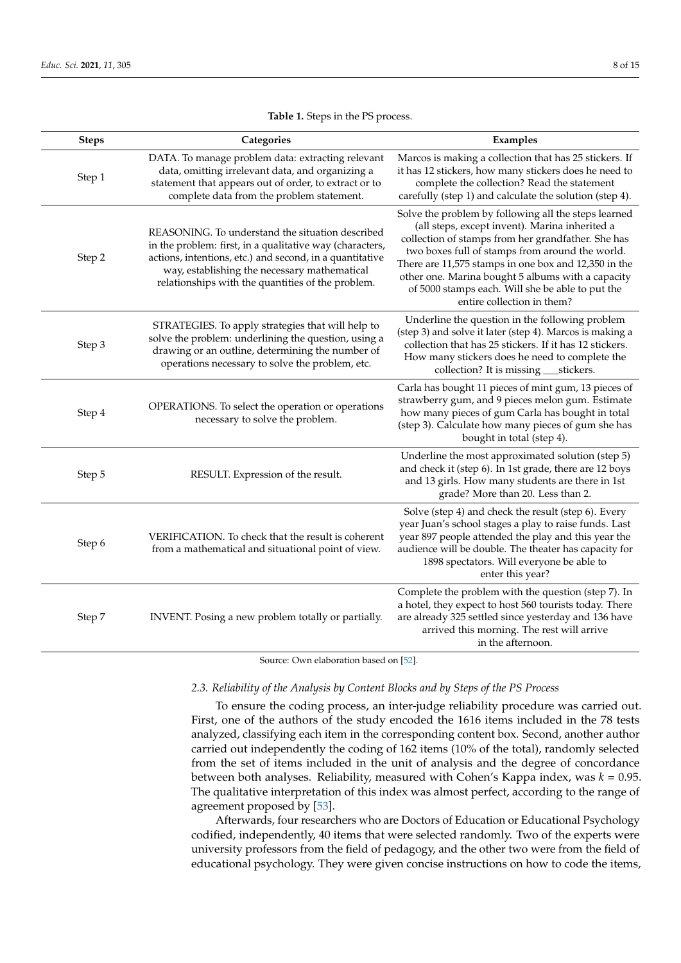#### **Table 1.** Steps in the PS process.

<span id="page-7-0"></span>

| <b>Steps</b> | Categories                                                                                                                                                                                                                                                                    | Examples                                                                                                                                                                                                                                                                                                                                                                                                       |
|--------------|-------------------------------------------------------------------------------------------------------------------------------------------------------------------------------------------------------------------------------------------------------------------------------|----------------------------------------------------------------------------------------------------------------------------------------------------------------------------------------------------------------------------------------------------------------------------------------------------------------------------------------------------------------------------------------------------------------|
| Step 1       | DATA. To manage problem data: extracting relevant<br>data, omitting irrelevant data, and organizing a<br>statement that appears out of order, to extract or to<br>complete data from the problem statement.                                                                   | Marcos is making a collection that has 25 stickers. If<br>it has 12 stickers, how many stickers does he need to<br>complete the collection? Read the statement<br>carefully (step 1) and calculate the solution (step 4).                                                                                                                                                                                      |
| Step 2       | REASONING. To understand the situation described<br>in the problem: first, in a qualitative way (characters,<br>actions, intentions, etc.) and second, in a quantitative<br>way, establishing the necessary mathematical<br>relationships with the quantities of the problem. | Solve the problem by following all the steps learned<br>(all steps, except invent). Marina inherited a<br>collection of stamps from her grandfather. She has<br>two boxes full of stamps from around the world.<br>There are 11,575 stamps in one box and 12,350 in the<br>other one. Marina bought 5 albums with a capacity<br>of 5000 stamps each. Will she be able to put the<br>entire collection in them? |
| Step 3       | STRATEGIES. To apply strategies that will help to<br>solve the problem: underlining the question, using a<br>drawing or an outline, determining the number of<br>operations necessary to solve the problem, etc.                                                              | Underline the question in the following problem<br>(step 3) and solve it later (step 4). Marcos is making a<br>collection that has 25 stickers. If it has 12 stickers.<br>How many stickers does he need to complete the<br>collection? It is missing _____ stickers.                                                                                                                                          |
| Step 4       | OPERATIONS. To select the operation or operations<br>necessary to solve the problem.                                                                                                                                                                                          | Carla has bought 11 pieces of mint gum, 13 pieces of<br>strawberry gum, and 9 pieces melon gum. Estimate<br>how many pieces of gum Carla has bought in total<br>(step 3). Calculate how many pieces of gum she has<br>bought in total (step 4).                                                                                                                                                                |
| Step 5       | RESULT. Expression of the result.                                                                                                                                                                                                                                             | Underline the most approximated solution (step 5)<br>and check it (step 6). In 1st grade, there are 12 boys<br>and 13 girls. How many students are there in 1st<br>grade? More than 20. Less than 2.                                                                                                                                                                                                           |
| Step 6       | VERIFICATION. To check that the result is coherent<br>from a mathematical and situational point of view.                                                                                                                                                                      | Solve (step 4) and check the result (step 6). Every<br>year Juan's school stages a play to raise funds. Last<br>year 897 people attended the play and this year the<br>audience will be double. The theater has capacity for<br>1898 spectators. Will everyone be able to<br>enter this year?                                                                                                                  |
| Step 7       | INVENT. Posing a new problem totally or partially.                                                                                                                                                                                                                            | Complete the problem with the question (step 7). In<br>a hotel, they expect to host 560 tourists today. There<br>are already 325 settled since yesterday and 136 have<br>arrived this morning. The rest will arrive<br>in the afternoon.                                                                                                                                                                       |

Source: Own elaboration based on [\[52\]](#page-13-21).

## *2.3. Reliability of the Analysis by Content Blocks and by Steps of the PS Process*

To ensure the coding process, an inter-judge reliability procedure was carried out. First, one of the authors of the study encoded the 1616 items included in the 78 tests analyzed, classifying each item in the corresponding content box. Second, another author carried out independently the coding of 162 items (10% of the total), randomly selected from the set of items included in the unit of analysis and the degree of concordance between both analyses. Reliability, measured with Cohen's Kappa index, was *k* = 0.95. The qualitative interpretation of this index was almost perfect, according to the range of agreement proposed by [\[53\]](#page-13-22).

Afterwards, four researchers who are Doctors of Education or Educational Psychology codified, independently, 40 items that were selected randomly. Two of the experts were university professors from the field of pedagogy, and the other two were from the field of educational psychology. They were given concise instructions on how to code the items,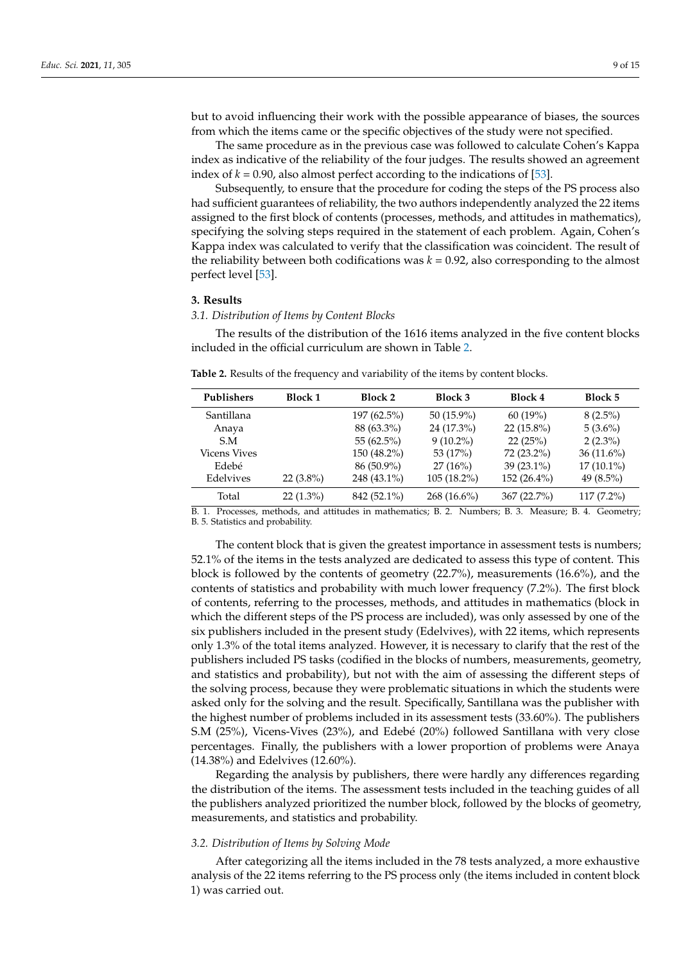but to avoid influencing their work with the possible appearance of biases, the sources from which the items came or the specific objectives of the study were not specified.

The same procedure as in the previous case was followed to calculate Cohen's Kappa index as indicative of the reliability of the four judges. The results showed an agreement index of  $k = 0.90$ , also almost perfect according to the indications of [\[53\]](#page-13-22).

Subsequently, to ensure that the procedure for coding the steps of the PS process also had sufficient guarantees of reliability, the two authors independently analyzed the 22 items assigned to the first block of contents (processes, methods, and attitudes in mathematics), specifying the solving steps required in the statement of each problem. Again, Cohen's Kappa index was calculated to verify that the classification was coincident. The result of the reliability between both codifications was  $k = 0.92$ , also corresponding to the almost perfect level [\[53\]](#page-13-22).

#### **3. Results**

#### *3.1. Distribution of Items by Content Blocks*

The results of the distribution of the 1616 items analyzed in the five content blocks included in the official curriculum are shown in Table [2.](#page-8-0)

<span id="page-8-0"></span>

|  |  |  |  |  | <b>Table 2.</b> Results of the frequency and variability of the items by content blocks. |  |  |  |
|--|--|--|--|--|------------------------------------------------------------------------------------------|--|--|--|
|--|--|--|--|--|------------------------------------------------------------------------------------------|--|--|--|

| Publishers          | <b>Block 1</b> | Block 2       | Block 3       | Block 4      | Block 5      |
|---------------------|----------------|---------------|---------------|--------------|--------------|
| Santillana          |                | 197 (62.5%)   | $50(15.9\%)$  | 60(19%)      | $8(2.5\%)$   |
| Anaya               |                | 88 (63.3%)    | 24 (17.3%)    | $22(15.8\%)$ | $5(3.6\%)$   |
| S.M                 |                | 55 $(62.5\%)$ | $9(10.2\%)$   | 22(25%)      | $2(2.3\%)$   |
| <b>Vicens Vives</b> |                | 150 (48.2%)   | 53 (17%)      | 72 (23.2%)   | $36(11.6\%)$ |
| Edebé               |                | 86 (50.9%)    | 27(16%)       | $39(23.1\%)$ | $17(10.1\%)$ |
| Edelvives           | $22(3.8\%)$    | 248 (43.1%)   | $105(18.2\%)$ | 152 (26.4%)  | 49 $(8.5\%)$ |
| Total               | $22(1.3\%)$    | 842 (52.1%)   | $268(16.6\%)$ | 367(22.7%)   | $117(7.2\%)$ |

B. 1. Processes, methods, and attitudes in mathematics; B. 2. Numbers; B. 3. Measure; B. 4. Geometry; B. 5. Statistics and probability.

The content block that is given the greatest importance in assessment tests is numbers; 52.1% of the items in the tests analyzed are dedicated to assess this type of content. This block is followed by the contents of geometry (22.7%), measurements (16.6%), and the contents of statistics and probability with much lower frequency (7.2%). The first block of contents, referring to the processes, methods, and attitudes in mathematics (block in which the different steps of the PS process are included), was only assessed by one of the six publishers included in the present study (Edelvives), with 22 items, which represents only 1.3% of the total items analyzed. However, it is necessary to clarify that the rest of the publishers included PS tasks (codified in the blocks of numbers, measurements, geometry, and statistics and probability), but not with the aim of assessing the different steps of the solving process, because they were problematic situations in which the students were asked only for the solving and the result. Specifically, Santillana was the publisher with the highest number of problems included in its assessment tests (33.60%). The publishers S.M (25%), Vicens-Vives (23%), and Edebé (20%) followed Santillana with very close percentages. Finally, the publishers with a lower proportion of problems were Anaya (14.38%) and Edelvives (12.60%).

Regarding the analysis by publishers, there were hardly any differences regarding the distribution of the items. The assessment tests included in the teaching guides of all the publishers analyzed prioritized the number block, followed by the blocks of geometry, measurements, and statistics and probability.

## *3.2. Distribution of Items by Solving Mode*

After categorizing all the items included in the 78 tests analyzed, a more exhaustive analysis of the 22 items referring to the PS process only (the items included in content block 1) was carried out.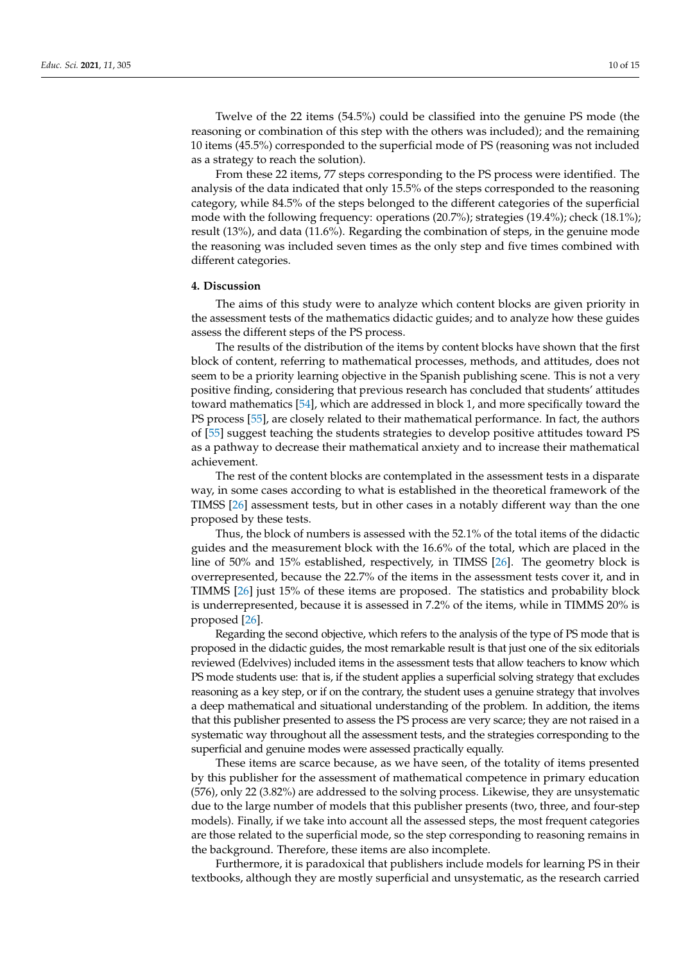Twelve of the 22 items (54.5%) could be classified into the genuine PS mode (the reasoning or combination of this step with the others was included); and the remaining 10 items (45.5%) corresponded to the superficial mode of PS (reasoning was not included as a strategy to reach the solution).

From these 22 items, 77 steps corresponding to the PS process were identified. The analysis of the data indicated that only 15.5% of the steps corresponded to the reasoning category, while 84.5% of the steps belonged to the different categories of the superficial mode with the following frequency: operations (20.7%); strategies (19.4%); check (18.1%); result (13%), and data (11.6%). Regarding the combination of steps, in the genuine mode the reasoning was included seven times as the only step and five times combined with different categories.

### **4. Discussion**

The aims of this study were to analyze which content blocks are given priority in the assessment tests of the mathematics didactic guides; and to analyze how these guides assess the different steps of the PS process.

The results of the distribution of the items by content blocks have shown that the first block of content, referring to mathematical processes, methods, and attitudes, does not seem to be a priority learning objective in the Spanish publishing scene. This is not a very positive finding, considering that previous research has concluded that students' attitudes toward mathematics [\[54\]](#page-13-23), which are addressed in block 1, and more specifically toward the PS process [\[55\]](#page-13-24), are closely related to their mathematical performance. In fact, the authors of [\[55\]](#page-13-24) suggest teaching the students strategies to develop positive attitudes toward PS as a pathway to decrease their mathematical anxiety and to increase their mathematical achievement.

The rest of the content blocks are contemplated in the assessment tests in a disparate way, in some cases according to what is established in the theoretical framework of the TIMSS [\[26\]](#page-13-0) assessment tests, but in other cases in a notably different way than the one proposed by these tests.

Thus, the block of numbers is assessed with the 52.1% of the total items of the didactic guides and the measurement block with the 16.6% of the total, which are placed in the line of 50% and 15% established, respectively, in TIMSS [\[26\]](#page-13-0). The geometry block is overrepresented, because the 22.7% of the items in the assessment tests cover it, and in TIMMS [\[26\]](#page-13-0) just 15% of these items are proposed. The statistics and probability block is underrepresented, because it is assessed in 7.2% of the items, while in TIMMS 20% is proposed [\[26\]](#page-13-0).

Regarding the second objective, which refers to the analysis of the type of PS mode that is proposed in the didactic guides, the most remarkable result is that just one of the six editorials reviewed (Edelvives) included items in the assessment tests that allow teachers to know which PS mode students use: that is, if the student applies a superficial solving strategy that excludes reasoning as a key step, or if on the contrary, the student uses a genuine strategy that involves a deep mathematical and situational understanding of the problem. In addition, the items that this publisher presented to assess the PS process are very scarce; they are not raised in a systematic way throughout all the assessment tests, and the strategies corresponding to the superficial and genuine modes were assessed practically equally.

These items are scarce because, as we have seen, of the totality of items presented by this publisher for the assessment of mathematical competence in primary education (576), only 22 (3.82%) are addressed to the solving process. Likewise, they are unsystematic due to the large number of models that this publisher presents (two, three, and four-step models). Finally, if we take into account all the assessed steps, the most frequent categories are those related to the superficial mode, so the step corresponding to reasoning remains in the background. Therefore, these items are also incomplete.

Furthermore, it is paradoxical that publishers include models for learning PS in their textbooks, although they are mostly superficial and unsystematic, as the research carried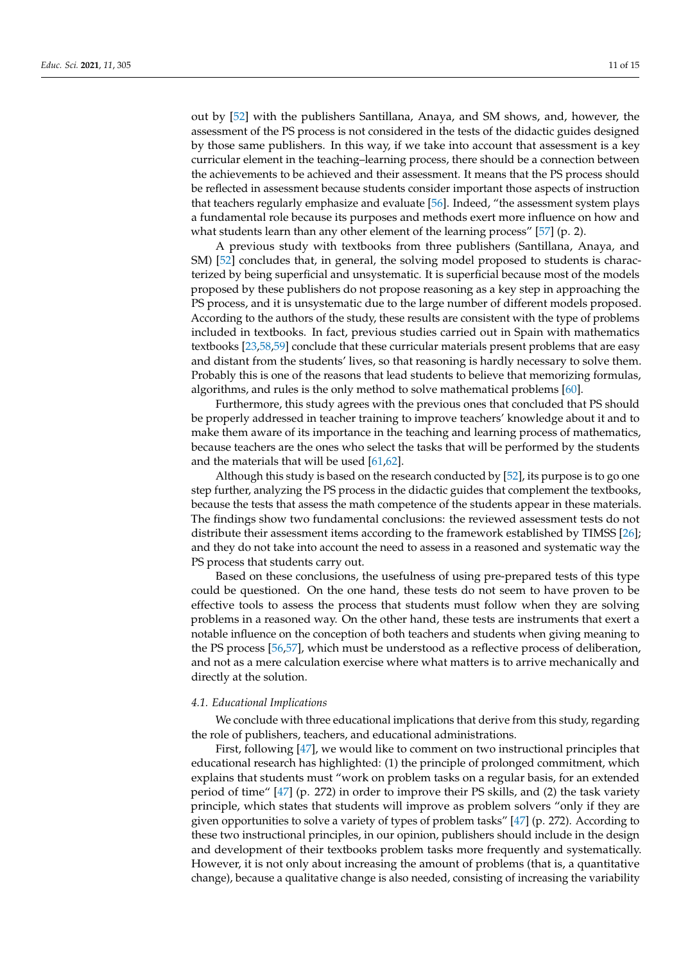out by [\[52\]](#page-13-21) with the publishers Santillana, Anaya, and SM shows, and, however, the assessment of the PS process is not considered in the tests of the didactic guides designed by those same publishers. In this way, if we take into account that assessment is a key curricular element in the teaching–learning process, there should be a connection between the achievements to be achieved and their assessment. It means that the PS process should be reflected in assessment because students consider important those aspects of instruction that teachers regularly emphasize and evaluate [\[56\]](#page-13-25). Indeed, "the assessment system plays a fundamental role because its purposes and methods exert more influence on how and what students learn than any other element of the learning process" [\[57\]](#page-13-26) (p. 2).

A previous study with textbooks from three publishers (Santillana, Anaya, and SM) [\[52\]](#page-13-21) concludes that, in general, the solving model proposed to students is characterized by being superficial and unsystematic. It is superficial because most of the models proposed by these publishers do not propose reasoning as a key step in approaching the PS process, and it is unsystematic due to the large number of different models proposed. According to the authors of the study, these results are consistent with the type of problems included in textbooks. In fact, previous studies carried out in Spain with mathematics textbooks [\[23,](#page-12-19)[58](#page-13-27)[,59\]](#page-13-28) conclude that these curricular materials present problems that are easy and distant from the students' lives, so that reasoning is hardly necessary to solve them. Probably this is one of the reasons that lead students to believe that memorizing formulas, algorithms, and rules is the only method to solve mathematical problems [\[60\]](#page-13-29).

Furthermore, this study agrees with the previous ones that concluded that PS should be properly addressed in teacher training to improve teachers' knowledge about it and to make them aware of its importance in the teaching and learning process of mathematics, because teachers are the ones who select the tasks that will be performed by the students and the materials that will be used [\[61,](#page-14-0)[62\]](#page-14-1).

Although this study is based on the research conducted by [\[52\]](#page-13-21), its purpose is to go one step further, analyzing the PS process in the didactic guides that complement the textbooks, because the tests that assess the math competence of the students appear in these materials. The findings show two fundamental conclusions: the reviewed assessment tests do not distribute their assessment items according to the framework established by TIMSS [\[26\]](#page-13-0); and they do not take into account the need to assess in a reasoned and systematic way the PS process that students carry out.

Based on these conclusions, the usefulness of using pre-prepared tests of this type could be questioned. On the one hand, these tests do not seem to have proven to be effective tools to assess the process that students must follow when they are solving problems in a reasoned way. On the other hand, these tests are instruments that exert a notable influence on the conception of both teachers and students when giving meaning to the PS process [\[56,](#page-13-25)[57\]](#page-13-26), which must be understood as a reflective process of deliberation, and not as a mere calculation exercise where what matters is to arrive mechanically and directly at the solution.

### *4.1. Educational Implications*

We conclude with three educational implications that derive from this study, regarding the role of publishers, teachers, and educational administrations.

First, following [\[47\]](#page-13-30), we would like to comment on two instructional principles that educational research has highlighted: (1) the principle of prolonged commitment, which explains that students must "work on problem tasks on a regular basis, for an extended period of time" [\[47\]](#page-13-30) (p. 272) in order to improve their PS skills, and (2) the task variety principle, which states that students will improve as problem solvers "only if they are given opportunities to solve a variety of types of problem tasks" [\[47\]](#page-13-30) (p. 272). According to these two instructional principles, in our opinion, publishers should include in the design and development of their textbooks problem tasks more frequently and systematically. However, it is not only about increasing the amount of problems (that is, a quantitative change), because a qualitative change is also needed, consisting of increasing the variability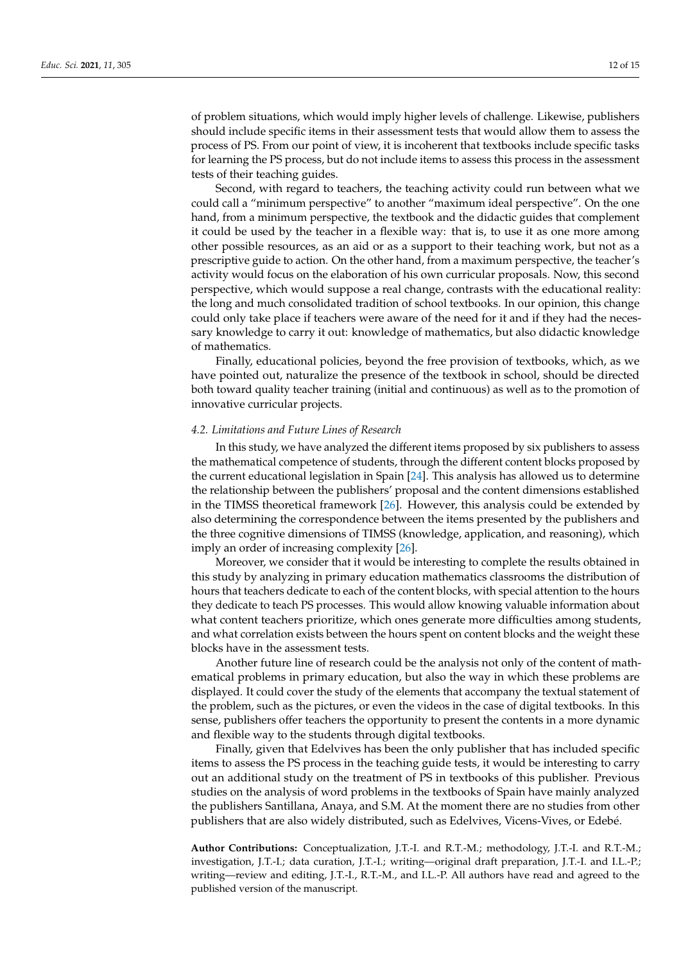of problem situations, which would imply higher levels of challenge. Likewise, publishers should include specific items in their assessment tests that would allow them to assess the process of PS. From our point of view, it is incoherent that textbooks include specific tasks for learning the PS process, but do not include items to assess this process in the assessment tests of their teaching guides.

Second, with regard to teachers, the teaching activity could run between what we could call a "minimum perspective" to another "maximum ideal perspective". On the one hand, from a minimum perspective, the textbook and the didactic guides that complement it could be used by the teacher in a flexible way: that is, to use it as one more among other possible resources, as an aid or as a support to their teaching work, but not as a prescriptive guide to action. On the other hand, from a maximum perspective, the teacher's activity would focus on the elaboration of his own curricular proposals. Now, this second perspective, which would suppose a real change, contrasts with the educational reality: the long and much consolidated tradition of school textbooks. In our opinion, this change could only take place if teachers were aware of the need for it and if they had the necessary knowledge to carry it out: knowledge of mathematics, but also didactic knowledge of mathematics.

Finally, educational policies, beyond the free provision of textbooks, which, as we have pointed out, naturalize the presence of the textbook in school, should be directed both toward quality teacher training (initial and continuous) as well as to the promotion of innovative curricular projects.

#### *4.2. Limitations and Future Lines of Research*

In this study, we have analyzed the different items proposed by six publishers to assess the mathematical competence of students, through the different content blocks proposed by the current educational legislation in Spain [\[24\]](#page-12-20). This analysis has allowed us to determine the relationship between the publishers' proposal and the content dimensions established in the TIMSS theoretical framework [\[26\]](#page-13-0). However, this analysis could be extended by also determining the correspondence between the items presented by the publishers and the three cognitive dimensions of TIMSS (knowledge, application, and reasoning), which imply an order of increasing complexity [\[26\]](#page-13-0).

Moreover, we consider that it would be interesting to complete the results obtained in this study by analyzing in primary education mathematics classrooms the distribution of hours that teachers dedicate to each of the content blocks, with special attention to the hours they dedicate to teach PS processes. This would allow knowing valuable information about what content teachers prioritize, which ones generate more difficulties among students, and what correlation exists between the hours spent on content blocks and the weight these blocks have in the assessment tests.

Another future line of research could be the analysis not only of the content of mathematical problems in primary education, but also the way in which these problems are displayed. It could cover the study of the elements that accompany the textual statement of the problem, such as the pictures, or even the videos in the case of digital textbooks. In this sense, publishers offer teachers the opportunity to present the contents in a more dynamic and flexible way to the students through digital textbooks.

Finally, given that Edelvives has been the only publisher that has included specific items to assess the PS process in the teaching guide tests, it would be interesting to carry out an additional study on the treatment of PS in textbooks of this publisher. Previous studies on the analysis of word problems in the textbooks of Spain have mainly analyzed the publishers Santillana, Anaya, and S.M. At the moment there are no studies from other publishers that are also widely distributed, such as Edelvives, Vicens-Vives, or Edebé.

**Author Contributions:** Conceptualization, J.T.-I. and R.T.-M.; methodology, J.T.-I. and R.T.-M.; investigation, J.T.-I.; data curation, J.T.-I.; writing—original draft preparation, J.T.-I. and I.L.-P.; writing—review and editing, J.T.-I., R.T.-M., and I.L.-P. All authors have read and agreed to the published version of the manuscript.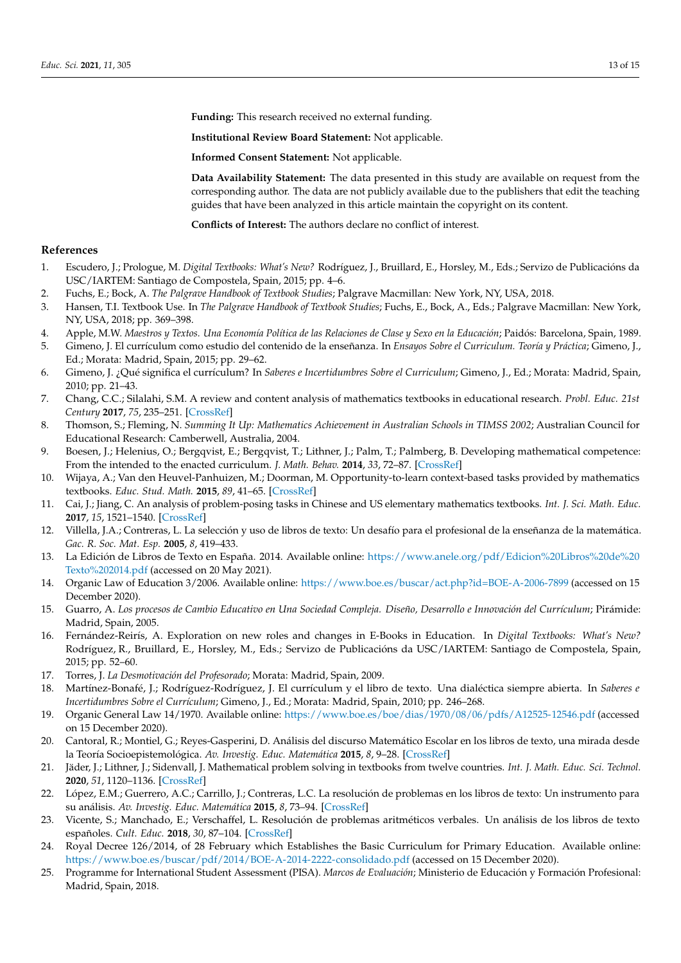**Funding:** This research received no external funding.

**Institutional Review Board Statement:** Not applicable.

**Informed Consent Statement:** Not applicable.

**Data Availability Statement:** The data presented in this study are available on request from the corresponding author. The data are not publicly available due to the publishers that edit the teaching guides that have been analyzed in this article maintain the copyright on its content.

**Conflicts of Interest:** The authors declare no conflict of interest.

# **References**

- <span id="page-12-0"></span>1. Escudero, J.; Prologue, M. *Digital Textbooks: What's New?* Rodríguez, J., Bruillard, E., Horsley, M., Eds.; Servizo de Publicacións da USC/IARTEM: Santiago de Compostela, Spain, 2015; pp. 4–6.
- 2. Fuchs, E.; Bock, A. *The Palgrave Handbook of Textbook Studies*; Palgrave Macmillan: New York, NY, USA, 2018.
- <span id="page-12-1"></span>3. Hansen, T.I. Textbook Use. In *The Palgrave Handbook of Textbook Studies*; Fuchs, E., Bock, A., Eds.; Palgrave Macmillan: New York, NY, USA, 2018; pp. 369–398.
- <span id="page-12-2"></span>4. Apple, M.W. *Maestros y Textos. Una Economía Política de las Relaciones de Clase y Sexo en la Educación*; Paidós: Barcelona, Spain, 1989.
- <span id="page-12-3"></span>5. Gimeno, J. El currículum como estudio del contenido de la enseñanza. In *Ensayos Sobre el Curriculum. Teoría y Práctica*; Gimeno, J., Ed.; Morata: Madrid, Spain, 2015; pp. 29–62.
- <span id="page-12-4"></span>6. Gimeno, J. ¿Qué significa el currículum? In *Saberes e Incertidumbres Sobre el Curriculum*; Gimeno, J., Ed.; Morata: Madrid, Spain, 2010; pp. 21–43.
- <span id="page-12-5"></span>7. Chang, C.C.; Silalahi, S.M. A review and content analysis of mathematics textbooks in educational research. *Probl. Educ. 21st Century* **2017**, *75*, 235–251. [\[CrossRef\]](http://doi.org/10.33225/pec/17.75.235)
- <span id="page-12-6"></span>8. Thomson, S.; Fleming, N. *Summing It Up: Mathematics Achievement in Australian Schools in TIMSS 2002*; Australian Council for Educational Research: Camberwell, Australia, 2004.
- <span id="page-12-7"></span>9. Boesen, J.; Helenius, O.; Bergqvist, E.; Bergqvist, T.; Lithner, J.; Palm, T.; Palmberg, B. Developing mathematical competence: From the intended to the enacted curriculum. *J. Math. Behav.* **2014**, *33*, 72–87. [\[CrossRef\]](http://doi.org/10.1016/j.jmathb.2013.10.001)
- 10. Wijaya, A.; Van den Heuvel-Panhuizen, M.; Doorman, M. Opportunity-to-learn context-based tasks provided by mathematics textbooks. *Educ. Stud. Math.* **2015**, *89*, 41–65. [\[CrossRef\]](http://doi.org/10.1007/s10649-015-9595-1)
- <span id="page-12-8"></span>11. Cai, J.; Jiang, C. An analysis of problem-posing tasks in Chinese and US elementary mathematics textbooks. *Int. J. Sci. Math. Educ.* **2017**, *15*, 1521–1540. [\[CrossRef\]](http://doi.org/10.1007/s10763-016-9758-2)
- <span id="page-12-9"></span>12. Villella, J.A.; Contreras, L. La selección y uso de libros de texto: Un desafío para el profesional de la enseñanza de la matemática. *Gac. R. Soc. Mat. Esp.* **2005**, *8*, 419–433.
- <span id="page-12-10"></span>13. La Edición de Libros de Texto en España. 2014. Available online: [https://www.anele.org/pdf/Edicion%20Libros%20de%20](https://www.anele.org/pdf/Edicion%20Libros%20de%20Texto%202014.pdf) [Texto%202014.pdf](https://www.anele.org/pdf/Edicion%20Libros%20de%20Texto%202014.pdf) (accessed on 20 May 2021).
- <span id="page-12-11"></span>14. Organic Law of Education 3/2006. Available online: <https://www.boe.es/buscar/act.php?id=BOE-A-2006-7899> (accessed on 15 December 2020).
- <span id="page-12-12"></span>15. Guarro, A. *Los procesos de Cambio Educativo en Una Sociedad Compleja. Diseño, Desarrollo e Innovación del Currículum*; Pirámide: Madrid, Spain, 2005.
- <span id="page-12-13"></span>16. Fernández-Reirís, A. Exploration on new roles and changes in E-Books in Education. In *Digital Textbooks: What's New?* Rodríguez, R., Bruillard, E., Horsley, M., Eds.; Servizo de Publicacións da USC/IARTEM: Santiago de Compostela, Spain, 2015; pp. 52–60.
- <span id="page-12-14"></span>17. Torres, J. *La Desmotivación del Profesorado*; Morata: Madrid, Spain, 2009.
- <span id="page-12-15"></span>18. Martínez-Bonafé, J.; Rodríguez-Rodríguez, J. El currículum y el libro de texto. Una dialéctica siempre abierta. In *Saberes e Incertidumbres Sobre el Currículum*; Gimeno, J., Ed.; Morata: Madrid, Spain, 2010; pp. 246–268.
- <span id="page-12-16"></span>19. Organic General Law 14/1970. Available online: <https://www.boe.es/boe/dias/1970/08/06/pdfs/A12525-12546.pdf> (accessed on 15 December 2020).
- <span id="page-12-17"></span>20. Cantoral, R.; Montiel, G.; Reyes-Gasperini, D. Análisis del discurso Matemático Escolar en los libros de texto, una mirada desde la Teoría Socioepistemológica. *Av. Investig. Educ. Matemática* **2015**, *8*, 9–28. [\[CrossRef\]](http://doi.org/10.35763/aiem.v1i8.123)
- 21. Jäder, J.; Lithner, J.; Sidenvall, J. Mathematical problem solving in textbooks from twelve countries. *Int. J. Math. Educ. Sci. Technol.* **2020**, *51*, 1120–1136. [\[CrossRef\]](http://doi.org/10.1080/0020739X.2019.1656826)
- <span id="page-12-18"></span>22. López, E.M.; Guerrero, A.C.; Carrillo, J.; Contreras, L.C. La resolución de problemas en los libros de texto: Un instrumento para su análisis. *Av. Investig. Educ. Matemática* **2015**, *8*, 73–94. [\[CrossRef\]](http://doi.org/10.35763/aiem.v1i8.122)
- <span id="page-12-19"></span>23. Vicente, S.; Manchado, E.; Verschaffel, L. Resolución de problemas aritméticos verbales. Un análisis de los libros de texto españoles. *Cult. Educ.* **2018**, *30*, 87–104. [\[CrossRef\]](http://doi.org/10.1080/11356405.2017.1421606)
- <span id="page-12-20"></span>24. Royal Decree 126/2014, of 28 February which Establishes the Basic Curriculum for Primary Education. Available online: <https://www.boe.es/buscar/pdf/2014/BOE-A-2014-2222-consolidado.pdf> (accessed on 15 December 2020).
- <span id="page-12-21"></span>25. Programme for International Student Assessment (PISA). *Marcos de Evaluación*; Ministerio de Educación y Formación Profesional: Madrid, Spain, 2018.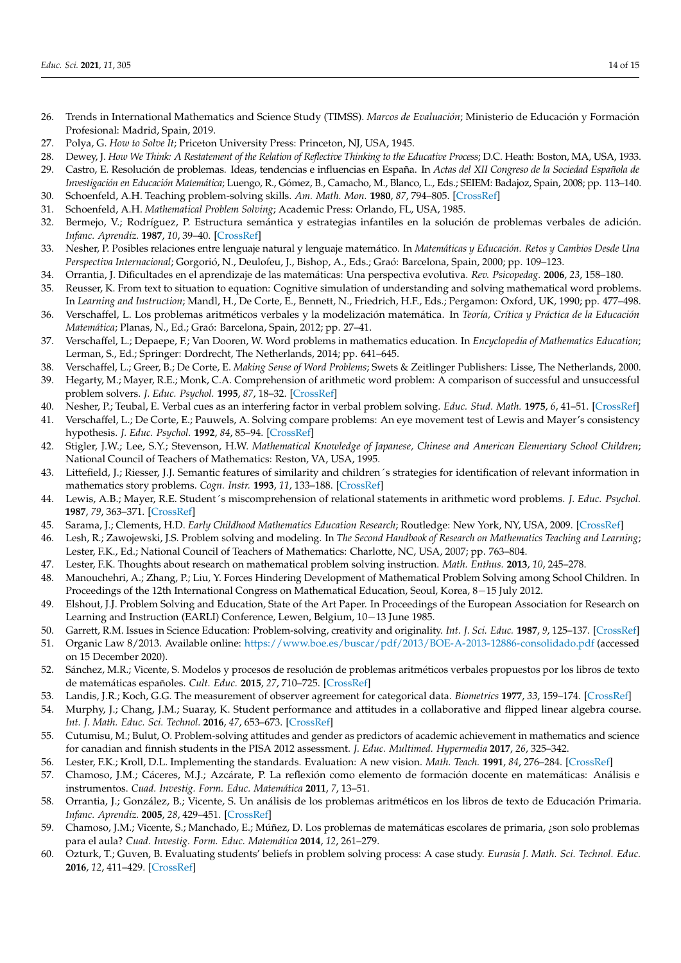- <span id="page-13-0"></span>26. Trends in International Mathematics and Science Study (TIMSS). *Marcos de Evaluación*; Ministerio de Educación y Formación Profesional: Madrid, Spain, 2019.
- <span id="page-13-1"></span>27. Polya, G. *How to Solve It*; Priceton University Press: Princeton, NJ, USA, 1945.
- <span id="page-13-2"></span>28. Dewey, J. *How We Think: A Restatement of the Relation of Reflective Thinking to the Educative Process*; D.C. Heath: Boston, MA, USA, 1933.
- <span id="page-13-3"></span>29. Castro, E. Resolución de problemas. Ideas, tendencias e influencias en España. In *Actas del XII Congreso de la Sociedad Española de Investigación en Educación Matemática*; Luengo, R., Gómez, B., Camacho, M., Blanco, L., Eds.; SEIEM: Badajoz, Spain, 2008; pp. 113–140.
- <span id="page-13-4"></span>30. Schoenfeld, A.H. Teaching problem-solving skills. *Am. Math. Mon.* **1980**, *87*, 794–805. [\[CrossRef\]](http://doi.org/10.1080/00029890.1980.11995155)
- <span id="page-13-5"></span>31. Schoenfeld, A.H. *Mathematical Problem Solving*; Academic Press: Orlando, FL, USA, 1985.
- <span id="page-13-6"></span>32. Bermejo, V.; Rodríguez, P. Estructura semántica y estrategias infantiles en la solución de problemas verbales de adición. *Infanc. Aprendiz.* **1987**, *10*, 39–40. [\[CrossRef\]](http://doi.org/10.1080/02103702.1987.10822176)
- <span id="page-13-8"></span>33. Nesher, P. Posibles relaciones entre lenguaje natural y lenguaje matemático. In *Matemáticas y Educación. Retos y Cambios Desde Una Perspectiva Internacional*; Gorgorió, N., Deulofeu, J., Bishop, A., Eds.; Graó: Barcelona, Spain, 2000; pp. 109–123.
- 34. Orrantia, J. Dificultades en el aprendizaje de las matemáticas: Una perspectiva evolutiva. *Rev. Psicopedag.* **2006**, *23*, 158–180.
- 35. Reusser, K. From text to situation to equation: Cognitive simulation of understanding and solving mathematical word problems. In *Learning and Instruction*; Mandl, H., De Corte, E., Bennett, N., Friedrich, H.F., Eds.; Pergamon: Oxford, UK, 1990; pp. 477–498.
- 36. Verschaffel, L. Los problemas aritméticos verbales y la modelización matemática. In *Teoría, Crítica y Práctica de la Educación Matemática*; Planas, N., Ed.; Graó: Barcelona, Spain, 2012; pp. 27–41.
- <span id="page-13-7"></span>37. Verschaffel, L.; Depaepe, F.; Van Dooren, W. Word problems in mathematics education. In *Encyclopedia of Mathematics Education*; Lerman, S., Ed.; Springer: Dordrecht, The Netherlands, 2014; pp. 641–645.
- <span id="page-13-9"></span>38. Verschaffel, L.; Greer, B.; De Corte, E. *Making Sense of Word Problems*; Swets & Zeitlinger Publishers: Lisse, The Netherlands, 2000.
- <span id="page-13-10"></span>39. Hegarty, M.; Mayer, R.E.; Monk, C.A. Comprehension of arithmetic word problem: A comparison of successful and unsuccessful problem solvers. *J. Educ. Psychol.* **1995**, *87*, 18–32. [\[CrossRef\]](http://doi.org/10.1037/0022-0663.87.1.18)
- 40. Nesher, P.; Teubal, E. Verbal cues as an interfering factor in verbal problem solving. *Educ. Stud. Math.* **1975**, *6*, 41–51. [\[CrossRef\]](http://doi.org/10.1007/BF00590023)
- <span id="page-13-11"></span>41. Verschaffel, L.; De Corte, E.; Pauwels, A. Solving compare problems: An eye movement test of Lewis and Mayer's consistency hypothesis. *J. Educ. Psychol.* **1992**, *84*, 85–94. [\[CrossRef\]](http://doi.org/10.1037/0022-0663.84.1.85)
- <span id="page-13-12"></span>42. Stigler, J.W.; Lee, S.Y.; Stevenson, H.W. *Mathematical Knowledge of Japanese, Chinese and American Elementary School Children*; National Council of Teachers of Mathematics: Reston, VA, USA, 1995.
- <span id="page-13-13"></span>43. Littefield, J.; Riesser, J.J. Semantic features of similarity and children´s strategies for identification of relevant information in mathematics story problems. *Cogn. Instr.* **1993**, *11*, 133–188. [\[CrossRef\]](http://doi.org/10.1207/s1532690xci1102_2)
- <span id="page-13-14"></span>44. Lewis, A.B.; Mayer, R.E. Student´s miscomprehension of relational statements in arithmetic word problems. *J. Educ. Psychol.* **1987**, *79*, 363–371. [\[CrossRef\]](http://doi.org/10.1037/0022-0663.79.4.363)
- <span id="page-13-15"></span>45. Sarama, J.; Clements, H.D. *Early Childhood Mathematics Education Research*; Routledge: New York, NY, USA, 2009. [\[CrossRef\]](http://doi.org/10.4324/9780203883785)
- <span id="page-13-16"></span>46. Lesh, R.; Zawojewski, J.S. Problem solving and modeling. In *The Second Handbook of Research on Mathematics Teaching and Learning*; Lester, F.K., Ed.; National Council of Teachers of Mathematics: Charlotte, NC, USA, 2007; pp. 763–804.
- <span id="page-13-30"></span>47. Lester, F.K. Thoughts about research on mathematical problem solving instruction. *Math. Enthus.* **2013**, *10*, 245–278.
- <span id="page-13-17"></span>48. Manouchehri, A.; Zhang, P.; Liu, Y. Forces Hindering Development of Mathematical Problem Solving among School Children. In Proceedings of the 12th International Congress on Mathematical Education, Seoul, Korea, 8−15 July 2012.
- <span id="page-13-18"></span>49. Elshout, J.J. Problem Solving and Education, State of the Art Paper. In Proceedings of the European Association for Research on Learning and Instruction (EARLI) Conference, Lewen, Belgium, 10−13 June 1985.
- <span id="page-13-19"></span>50. Garrett, R.M. Issues in Science Education: Problem-solving, creativity and originality. *Int. J. Sci. Educ.* **1987**, *9*, 125–137. [\[CrossRef\]](http://doi.org/10.1080/0950069870090201)
- <span id="page-13-20"></span>51. Organic Law 8/2013. Available online: <https://www.boe.es/buscar/pdf/2013/BOE-A-2013-12886-consolidado.pdf> (accessed on 15 December 2020).
- <span id="page-13-21"></span>52. Sánchez, M.R.; Vicente, S. Modelos y procesos de resolución de problemas aritméticos verbales propuestos por los libros de texto de matemáticas españoles. *Cult. Educ.* **2015**, *27*, 710–725. [\[CrossRef\]](http://doi.org/10.1080/11356405.2015.1089389)
- <span id="page-13-22"></span>53. Landis, J.R.; Koch, G.G. The measurement of observer agreement for categorical data. *Biometrics* **1977**, *33*, 159–174. [\[CrossRef\]](http://doi.org/10.2307/2529310)
- <span id="page-13-23"></span>54. Murphy, J.; Chang, J.M.; Suaray, K. Student performance and attitudes in a collaborative and flipped linear algebra course. *Int. J. Math. Educ. Sci. Technol.* **2016**, *47*, 653–673. [\[CrossRef\]](http://doi.org/10.1080/0020739X.2015.1102979)
- <span id="page-13-24"></span>55. Cutumisu, M.; Bulut, O. Problem-solving attitudes and gender as predictors of academic achievement in mathematics and science for canadian and finnish students in the PISA 2012 assessment. *J. Educ. Multimed. Hypermedia* **2017**, *26*, 325–342.
- <span id="page-13-25"></span>56. Lester, F.K.; Kroll, D.L. Implementing the standards. Evaluation: A new vision. *Math. Teach.* **1991**, *84*, 276–284. [\[CrossRef\]](http://doi.org/10.5951/MT.84.4.0276)
- <span id="page-13-26"></span>57. Chamoso, J.M.; Cáceres, M.J.; Azcárate, P. La reflexión como elemento de formación docente en matemáticas: Análisis e instrumentos. *Cuad. Investig. Form. Educ. Matemática* **2011**, *7*, 13–51.
- <span id="page-13-27"></span>58. Orrantia, J.; González, B.; Vicente, S. Un análisis de los problemas aritméticos en los libros de texto de Educación Primaria. *Infanc. Aprendiz.* **2005**, *28*, 429–451. [\[CrossRef\]](http://doi.org/10.1174/021037005774518929)
- <span id="page-13-28"></span>59. Chamoso, J.M.; Vicente, S.; Manchado, E.; Múñez, D. Los problemas de matemáticas escolares de primaria, ¿son solo problemas para el aula? *Cuad. Investig. Form. Educ. Matemática* **2014**, *12*, 261–279.
- <span id="page-13-29"></span>60. Ozturk, T.; Guven, B. Evaluating students' beliefs in problem solving process: A case study. *Eurasia J. Math. Sci. Technol. Educ.* **2016**, *12*, 411–429. [\[CrossRef\]](http://doi.org/10.12973/eurasia.2016.1208a)